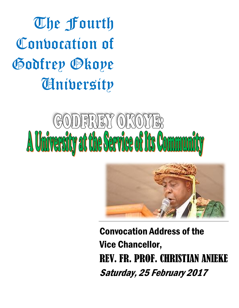The Fourth Conporation of Godfrey Okoye University

> DFREY OKOYE: A University at the Service of Its Community



Convocation Address of the Vice Chancellor, REV. FR. PROF. CHRISTIAN ANIEKE Saturday, 25 February 2017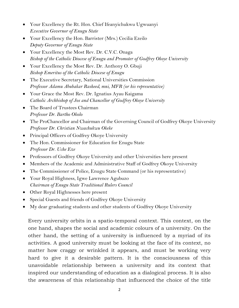- Your Excellency the Rt. Hon. Chief Ifeanyichukwu Ugwuanyi *Executive Governor of Enugu State*
- Your Excellency the Hon. Barrister (Mrs.) Cecilia Ezeilo *Deputy Governor of Enugu State*
- Your Excellency the Most Rev. Dr. C.V.C. Onaga *Bishop of the Catholic Diocese of Enugu and Promoter of Godfrey Okoye University*
- Your Excellency the Most Rev. Dr. Anthony O. Gbuji *Bishop Emeritus of the Catholic Diocese of Enugu*
- The Executive Secretary, National Universities Commission *Professor Adamu Abubakar Rasheed, mni, MFR (or his representative)*
- Your Grace the Most Rev. Dr. Ignatius Ayau Kaigama *Catholic Archbishop of Jos and Chancellor of Godfrey Okoye University*
- The Board of Trustees Chairman *Professor Dr. Bartho Okolo*
- The ProChancellor and Chairman of the Governing Council of Godfrey Okoye University *Professor Dr. Christian Nwachukwu Okeke*
- Principal Officers of Godfrey Okoye University
- The Hon. Commissioner for Education for Enugu State *Professor Dr. Uche Eze*
- Professors of Godfrey Okoye University and other Universities here present
- Members of the Academic and Administrative Staff of Godfrey Okoye University
- The Commissioner of Police, Enugu State Command (or his representative)
- Your Royal Highness, Igwe Lawrence Agubuzo *Chairman of Enugu State Traditional Rulers Council*
- Other Royal Highnesses here present
- Special Guests and friends of Godfrey Okoye University
- My dear graduating students and other students of Godfrey Okoye University

Every university orbits in a spatio-temporal context. This context, on the one hand, shapes the social and academic colours of a university. On the other hand, the setting of a university is influenced by a myriad of its activities. A good university must be looking at the face of its context, no matter how craggy or wrinkled it appears, and must be working very hard to give it a desirable pattern. It is the consciousness of this unavoidable relationship between a university and its context that inspired our understanding of education as a dialogical process. It is also the awareness of this relationship that influenced the choice of the title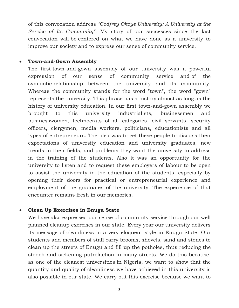of this convocation address *"Godfrey Okoye University: A University at the Service of Its Community".* My story of our successes since the last convocation will be centered on what we have done as a university to improve our society and to express our sense of community service.

### **Town-and-Gown Assembly**

The first town-and-gown assembly of our university was a powerful expression of our sense of community service and of the symbiotic relationship between the university and its community. Whereas the community stands for the word "town", the word "gown" represents the university. This phrase has a history almost as long as the history of university education. In our first town-and-gown assembly we brought to this university industrialists, businessmen and businesswomen, technocrats of all categories, civil servants, security officers, clergymen, media workers, politicians, educationists and all types of entrepreneurs. The idea was to get these people to discuss their expectations of university education and university graduates, new trends in their fields, and problems they want the university to address in the training of the students. Also it was an opportunity for the university to listen and to request these employers of labour to be open to assist the university in the education of the students, especially by opening their doors for practical or entrepreneurial experience and employment of the graduates of the university. The experience of that encounter remains fresh in our memories.

# **Clean Up Exercises in Enugu State**

We have also expressed our sense of community service through our well planned cleanup exercises in our state. Every year our university delivers its message of cleanliness in a very eloquent style in Enugu State. Our students and members of staff carry brooms, shovels, sand and stones to clean up the streets of Enugu and fill up the potholes, thus reducing the stench and sickening putrefaction in many streets. We do this because, as one of the cleanest universities in Nigeria, we want to show that the quantity and quality of cleanliness we have achieved in this university is also possible in our state. We carry out this exercise because we want to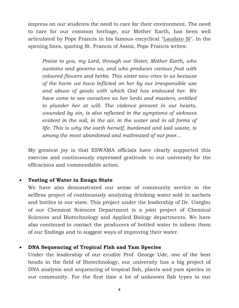impress on our students the need to care for their environment. The need to care for our common heritage, our Mother Earth, has been well articulated by Pope Francis in his famous encyclical "Laudato Si". In the opening lines, quoting St. Francis of Assisi, Pope Francis writes:

*Praise to you, my Lord, through our Sister, Mother Earth, who sustains and governs us, and who produces various fruit with coloured flowers and herbs. This sister now cries to us because of the harm we have inflicted on her by our irresponsible use and abuse of goods with which God has endowed her. We have come to see ourselves as her lords and masters, entitled to plunder her at will. The violence present in our hearts, wounded by sin, is also reflected in the symptoms of sickness evident in the soil, in the air, in the water and in all forms of life. This is why the earth herself, burdened and laid waste, is among the most abandoned and maltreated of our poor...*

My greatest joy is that ESWAMA officials have clearly supported this exercise and continuously expressed gratitude to our university for the efficacious and commendable action.

# **Testing of Water in Enugu State**

We have also demonstrated our sense of community service in the selfless project of continuously analyzing drinking water sold in sachets and bottles in our state. This project under the leadership of Dr. Unegbu of our Chemical Sciences Department is a joint project of Chemical Sciences and Biotechnology and Applied Biology departments. We have also continued to contact the producers of bottled water to inform them of our findings and to suggest ways of improving their water.

# **DNA Sequencing of Tropical Fish and Yam Species**

Under the leadership of our erudite Prof. George Ude, one of the best heads in the field of Biotechnology, our university has a big project of DNA analysis and sequencing of tropical fish, plants and yam species in our community. For the first time a lot of unknown fish types in our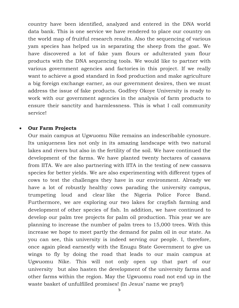country have been identified, analyzed and entered in the DNA world data bank. This is one service we have rendered to place our country on the world map of fruitful research results. Also the sequencing of various yam species has helped us in separating the sheep from the goat. We have discovered a lot of fake yam flours or adulterated yam flour products with the DNA sequencing tools. We would like to partner with various government agencies and factories in this project. If we really want to achieve a good standard in food production and make agriculture a big foreign exchange earner, as our government desires, then we must address the issue of fake products. Godfrey Okoye University is ready to work with our government agencies in the analysis of farm products to ensure their sanctity and harmlessness. This is what I call community service!

#### **Our Farm Projects**

Our main campus at Ugwuomu Nike remains an indescribable cynosure. Its uniqueness lies not only in its amazing landscape with two natural lakes and rivers but also in the fertility of the soil. We have continued the development of the farms. We have planted twenty hectares of cassava from IITA. We are also partnering with IITA in the testing of new cassava species for better yields. We are also experimenting with different types of cows to test the challenges they have in our environment. Already we have a lot of robustly healthy cows parading the university campus, trumpeting loud and clear like the Nigeria Police Force Band. Furthermore, we are exploring our two lakes for crayfish farming and development of other species of fish. In addition, we have continued to develop our palm tree projects for palm oil production. This year we are planning to increase the number of palm trees to 15,000 trees. With this increase we hope to meet partly the demand for palm oil in our state. As you can see, this university is indeed serving our people. I, therefore, once again plead earnestly with the Enugu State Government to give us wings to fly by doing the road that leads to our main campus at Ugwuomu Nike. This will not only open up that part of our university but also hasten the development of the university farms and other farms within the region. May the Ugwuomu road not end up in the waste basket of unfulfilled promises! (In Jesus' name we pray!)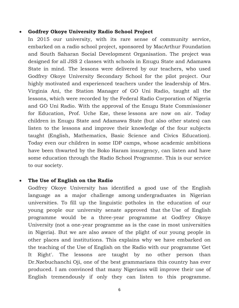### **Godfrey Okoye University Radio School Project**

In 2015 our university, with its rare sense of community service, embarked on a radio school project, sponsored by MacArthur Foundation and South Saharan Social Development Organisation. The project was designed for all JSS 2 classes with schools in Enugu State and Adamawa State in mind. The lessons were delivered by our teachers, who used Godfrey Okoye University Secondary School for the pilot project. Our highly motivated and experienced teachers under the leadership of Mrs. Virginia Ani, the Station Manager of GO Uni Radio, taught all the lessons, which were recorded by the Federal Radio Corporation of Nigeria and GO Uni Radio. With the approval of the Enugu State Commissioner for Education, Prof. Uche Eze, these lessons are now on air. Today children in Enugu State and Adamawa State (but also other states) can listen to the lessons and improve their knowledge of the four subjects taught (English, Mathematics, Basic Science and Civics Education). Today even our children in some IDP camps, whose academic ambitions have been thwarted by the Boko Haram insurgency, can listen and have some education through the Radio School Programme. This is our service to our society.

#### **The Use of English on the Radio**

Godfrey Okoye University has identified a good use of the English language as a major challenge among undergraduates in Nigerian universities. To fill up the linguistic potholes in the education of our young people our university senate approved that the Use of English programme would be a three-year programme at Godfrey Okoye University (not a one-year programme as is the case in most universities in Nigeria). But we are also aware of the plight of our young people in other places and institutions. This explains why we have embarked on the teaching of the Use of English on the Radio with our programme 'Get It Right'. The lessons are taught by no other person than Dr.Nzebuchanchi Oji, one of the best grammarians this country has ever produced. I am convinced that many Nigerians will improve their use of English tremendously if only they can listen to this programme.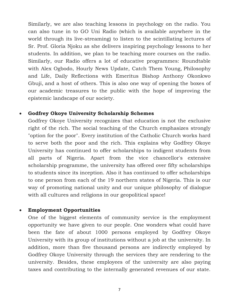Similarly, we are also teaching lessons in psychology on the radio. You can also tune in to GO Uni Radio (which is available anywhere in the world through its live-streaming) to listen to the scintillating lectures of Sr. Prof. Gloria Njoku as she delivers inspiring psychology lessons to her students. In addition, we plan to be teaching more courses on the radio. Similarly, our Radio offers a lot of educative programmes: Roundtable with Alex Ogbodo, Hourly News Update, Catch Them Young, Philosophy and Life, Daily Reflections with Emeritus Bishop Anthony Okonkwo Gbuji, and a host of others. This is also one way of opening the boxes of our academic treasures to the public with the hope of improving the epistemic landscape of our society.

# **Godfrey Okoye University Scholarship Schemes**

Godfrey Okoye University recognizes that education is not the exclusive right of the rich. The social teaching of the Church emphasizes strongly "option for the poor". Every institution of the Catholic Church works hard to serve both the poor and the rich. This explains why Godfrey Okoye University has continued to offer scholarships to indigent students from all parts of Nigeria. Apart from the vice chancellor's extensive scholarship programme, the university has offered over fifty scholarships to students since its inception. Also it has continued to offer scholarships to one person from each of the 19 northern states of Nigeria. This is our way of promoting national unity and our unique philosophy of dialogue with all cultures and religions in our geopolitical space!

# **Employment Opportunities**

One of the biggest elements of community service is the employment opportunity we have given to our people. One wonders what could have been the fate of about 1000 persons employed by Godfrey Okoye University with its group of institutions without a job at the university. In addition, more than five thousand persons are indirectly employed by Godfrey Okoye University through the services they are rendering to the university. Besides, these employees of the university are also paying taxes and contributing to the internally generated revenues of our state.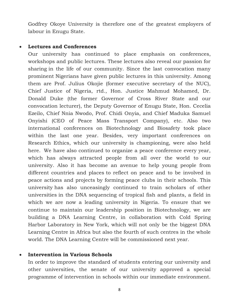Godfrey Okoye University is therefore one of the greatest employers of labour in Enugu State.

#### **Lectures and Conferences**

Our university has continued to place emphasis on conferences, workshops and public lectures. These lectures also reveal our passion for sharing in the life of our community. Since the last convocation many prominent Nigerians have given public lectures in this university. Among them are Prof. Julius Okojie (former executive secretary of the NUC), Chief Justice of Nigeria, rtd., Hon. Justice Mahmud Mohamed, Dr. Donald Duke (the former Governor of Cross River State and our convocation lecturer), the Deputy Governor of Enugu State, Hon. Cecelia Ezeilo, Chief Nnia Nwodo, Prof. Chidi Onyia, and Chief Maduka Samuel Onyishi (CEO of Peace Mass Transport Company), etc. Also two international conferences on Biotechnology and Biosafety took place within the last one year. Besides, very important conferences on Research Ethics, which our university is championing, were also held here. We have also continued to organize a peace conference every year, which has always attracted people from all over the world to our university. Also it has become an avenue to help young people from different countries and places to reflect on peace and to be involved in peace actions and projects by forming peace clubs in their schools. This university has also unceasingly continued to train scholars of other universities in the DNA sequencing of tropical fish and plants, a field in which we are now a leading university in Nigeria. To ensure that we continue to maintain our leadership position in Biotechnology, we are building a DNA Learning Centre, in collaboration with Cold Spring Harbor Laboratory in New York, which will not only be the biggest DNA Learning Centre in Africa but also the fourth of such centres in the whole world. The DNA Learning Centre will be commissioned next year.

#### **Intervention in Various Schools**

In order to improve the standard of students entering our university and other universities, the senate of our university approved a special programme of intervention in schools within our immediate environment.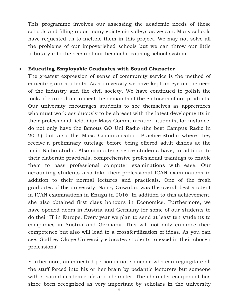This programme involves our assessing the academic needs of these schools and filling up as many epistemic valleys as we can. Many schools have requested us to include them in this project. We may not solve all the problems of our impoverished schools but we can throw our little tributary into the ocean of our headache-causing school system.

#### **Educating Employable Graduates with Sound Character**

The greatest expression of sense of community service is the method of educating our students. As a university we have kept an eye on the need of the industry and the civil society. We have continued to polish the tools of curriculum to meet the demands of the endusers of our products. Our university encourages students to see themselves as apprentices who must work assiduously to be abreast with the latest developments in their professional field. Our Mass Communication students, for instance, do not only have the famous GO Uni Radio (the best Campus Radio in 2016) but also the Mass Communication Practice Studio where they receive a preliminary tutelage before being offered adult dishes at the main Radio studio. Also computer science students have, in addition to their elaborate practicals, comprehensive professional trainings to enable them to pass professional computer examinations with ease. Our accounting students also take their professional ICAN examinations in addition to their normal lectures and practicals. One of the fresh graduates of the university, Nancy Onwubu, was the overall best student in ICAN examinations in Enugu in 2016. In addition to this achievement, she also obtained first class honours in Economics. Furthermore, we have opened doors in Austria and Germany for some of our students to do their IT in Europe. Every year we plan to send at least ten students to companies in Austria and Germany. This will not only enhance their competence but also will lead to a crossfertilization of ideas. As you can see, Godfrey Okoye University educates students to excel in their chosen professions!

Furthermore, an educated person is not someone who can regurgitate all the stuff forced into his or her brain by pedantic lecturers but someone with a sound academic life and character. The character component has since been recognized as very important by scholars in the university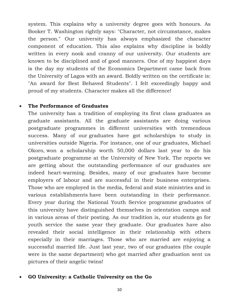system. This explains why a university degree goes with honours. As Booker T. Washington rightly says: "Character, not circumstance, makes the person." Our university has always emphasized the character component of education. This also explains why discipline is boldly written in every nook and cranny of our university. Our students are known to be disciplined and of good manners. One of my happiest days is the day my students of the Economics Department came back from the University of Lagos with an award. Boldly written on the certificate is: "An award for Best Behaved Students". I felt exceedingly happy and proud of my students. Character makes all the difference!

### **The Performance of Graduates**

The university has a tradition of employing its first class graduates as graduate assistants. All the graduate assistants are doing various postgraduate programmes in different universities with tremendous success. Many of our graduates have got scholarships to study in universities outside Nigeria. For instance, one of our graduates, Michael Okoro, won a scholarship worth 50,000 dollars last year to do his postgraduate programme at the University of New York. The reports we are getting about the outstanding performance of our graduates are indeed heart-warming. Besides, many of our graduates have become employers of labour and are successful in their business enterprises. Those who are employed in the media, federal and state ministries and in various establishments have been outstanding in their performance. Every year during the National Youth Service programme graduates of this university have distinguished themselves in orientation camps and in various areas of their posting. As our tradition is, our students go for youth service the same year they graduate. Our graduates have also revealed their social intelligence in their relationship with others especially in their marriages. Those who are married are enjoying a successful married life. Just last year, two of our graduates (the couple were in the same department) who got married after graduation sent us pictures of their angelic twins!

**GO University: a Catholic University on the Go**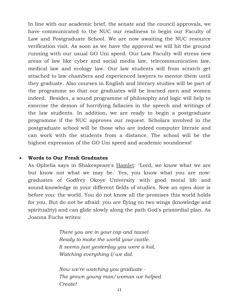In line with our academic brief, the senate and the council approvals, we have communicated to the NUC our readiness to begin our Faculty of Law and Postgraduate School. We are now awaiting the NUC resource verification visit. As soon as we have the approval we will hit the ground running with our usual GO Uni speed. Our Law Faculty will stress new areas of law like cyber and social media law, telecommunication law, medical law and ecology law. Our law students will from scratch get attached to law chambers and experienced lawyers to mentor them until they graduate. Also courses in English and literary studies will be part of the programme so that our graduates will be learned men and women indeed. Besides, a sound programme of philosophy and logic will help to exorcise the demon of horrifying fallacies in the speech and writings of the law students. In addition, we are ready to begin a postgraduate programme if the NUC approves our request. Scholars involved in the postgraduate school will be those who are indeed computer literate and can work with the students from a distance. The school will be the highest expression of the GO Uni speed and academic soundness!

# **Words to Our Fresh Graduates**

As Ophelia says in Shakespeare's Hamlet: "Lord, we know what we are but know not what we may be.' Yes, you know what you are now: graduates of Godfrey Okoye University with good moral life and sound knowledge in your different fields of studies. Now an open door is before you: the world. You do not know all the promises this world holds for you. But do not be afraid: you are flying on two wings (knowledge and spirituality) and can glide slowly along the path God's primordial plan. As Joanna Fuchs writes:

> *There you are in your cap and tassel Ready to make the world your castle. It seems just yesterday you were a kid, Watching everything I/we did.*

*Now we're watching you graduate - The grown young man/woman we helped Create!*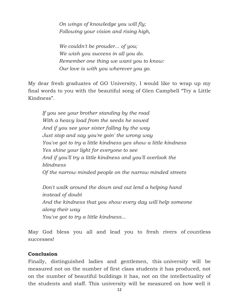*On wings of knowledge you will fly; Following your vision and rising high,*

*We couldn't be prouder... of you; We wish you success in all you do. Remember one thing we want you to know: Our love is with you wherever you go.*

My dear fresh graduates of GO University, I would like to wrap up my final words to you with the beautiful song of Glen Campbell "Try a Little Kindness".

*If you see your brother standing by the road With a heavy load from the seeds he sowed And if you see your sister falling by the way Just stop and say you're goin' the wrong way You've got to try a little kindness yes show a little kindness Yes shine your light for everyone to see And if you'll try a little kindness and you'll overlook the blindness Of the narrow minded people on the narrow minded streets*

*Don't walk around the down and out lend a helping hand instead of doubt And the kindness that you show every day will help someone along their way You've got to try a little kindness...*

May God bless you all and lead you to fresh rivers of countless successes!

#### **Conclusion**

Finally, distinguished ladies and gentlemen, this university will be measured not on the number of first class students it has produced, not on the number of beautiful buildings it has, not on the intellectuality of the students and staff. This university will be measured on how well it